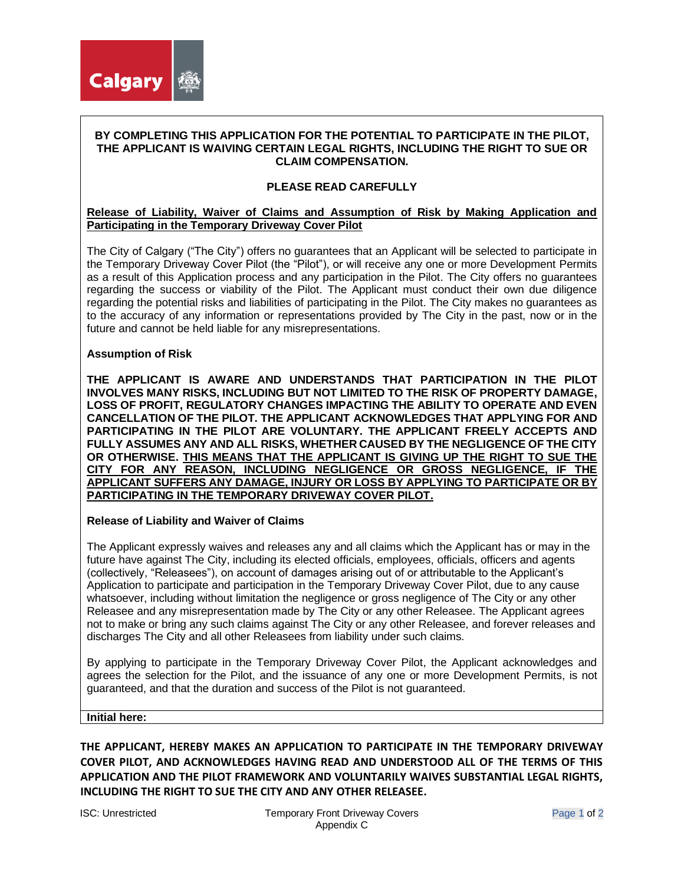

#### **BY COMPLETING THIS APPLICATION FOR THE POTENTIAL TO PARTICIPATE IN THE PILOT, THE APPLICANT IS WAIVING CERTAIN LEGAL RIGHTS, INCLUDING THE RIGHT TO SUE OR CLAIM COMPENSATION.**

# **PLEASE READ CAREFULLY**

## **Release of Liability, Waiver of Claims and Assumption of Risk by Making Application and Participating in the Temporary Driveway Cover Pilot**

The City of Calgary ("The City") offers no guarantees that an Applicant will be selected to participate in the Temporary Driveway Cover Pilot (the "Pilot"), or will receive any one or more Development Permits as a result of this Application process and any participation in the Pilot. The City offers no guarantees regarding the success or viability of the Pilot. The Applicant must conduct their own due diligence regarding the potential risks and liabilities of participating in the Pilot. The City makes no guarantees as to the accuracy of any information or representations provided by The City in the past, now or in the future and cannot be held liable for any misrepresentations.

## **Assumption of Risk**

**THE APPLICANT IS AWARE AND UNDERSTANDS THAT PARTICIPATION IN THE PILOT INVOLVES MANY RISKS, INCLUDING BUT NOT LIMITED TO THE RISK OF PROPERTY DAMAGE, LOSS OF PROFIT, REGULATORY CHANGES IMPACTING THE ABILITY TO OPERATE AND EVEN CANCELLATION OF THE PILOT. THE APPLICANT ACKNOWLEDGES THAT APPLYING FOR AND PARTICIPATING IN THE PILOT ARE VOLUNTARY. THE APPLICANT FREELY ACCEPTS AND FULLY ASSUMES ANY AND ALL RISKS, WHETHER CAUSED BY THE NEGLIGENCE OF THE CITY OR OTHERWISE. THIS MEANS THAT THE APPLICANT IS GIVING UP THE RIGHT TO SUE THE CITY FOR ANY REASON, INCLUDING NEGLIGENCE OR GROSS NEGLIGENCE, IF THE APPLICANT SUFFERS ANY DAMAGE, INJURY OR LOSS BY APPLYING TO PARTICIPATE OR BY PARTICIPATING IN THE TEMPORARY DRIVEWAY COVER PILOT.** 

#### **Release of Liability and Waiver of Claims**

The Applicant expressly waives and releases any and all claims which the Applicant has or may in the future have against The City, including its elected officials, employees, officials, officers and agents (collectively, "Releasees"), on account of damages arising out of or attributable to the Applicant's Application to participate and participation in the Temporary Driveway Cover Pilot, due to any cause whatsoever, including without limitation the negligence or gross negligence of The City or any other Releasee and any misrepresentation made by The City or any other Releasee. The Applicant agrees not to make or bring any such claims against The City or any other Releasee, and forever releases and discharges The City and all other Releasees from liability under such claims.

By applying to participate in the Temporary Driveway Cover Pilot, the Applicant acknowledges and agrees the selection for the Pilot, and the issuance of any one or more Development Permits, is not guaranteed, and that the duration and success of the Pilot is not guaranteed.

#### **Initial here:**

**THE APPLICANT, HEREBY MAKES AN APPLICATION TO PARTICIPATE IN THE TEMPORARY DRIVEWAY COVER PILOT, AND ACKNOWLEDGES HAVING READ AND UNDERSTOOD ALL OF THE TERMS OF THIS APPLICATION AND THE PILOT FRAMEWORK AND VOLUNTARILY WAIVES SUBSTANTIAL LEGAL RIGHTS, INCLUDING THE RIGHT TO SUE THE CITY AND ANY OTHER RELEASEE.**